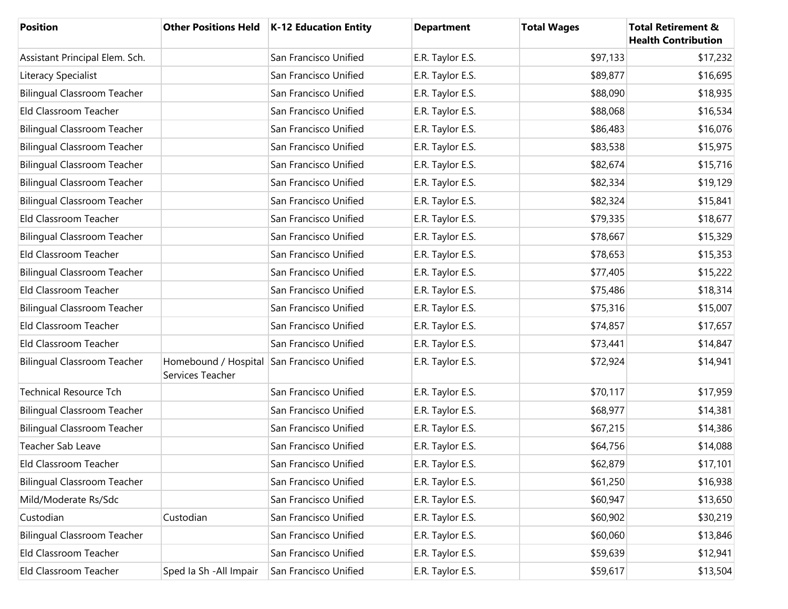| <b>Position</b>                    |                                          | Other Positions Held   K-12 Education Entity | <b>Department</b> | <b>Total Wages</b> | <b>Total Retirement &amp;</b><br><b>Health Contribution</b> |
|------------------------------------|------------------------------------------|----------------------------------------------|-------------------|--------------------|-------------------------------------------------------------|
| Assistant Principal Elem. Sch.     |                                          | San Francisco Unified                        | E.R. Taylor E.S.  | \$97,133           | \$17,232                                                    |
| Literacy Specialist                |                                          | San Francisco Unified                        | E.R. Taylor E.S.  | \$89,877           | \$16,695                                                    |
| <b>Bilingual Classroom Teacher</b> |                                          | San Francisco Unified                        | E.R. Taylor E.S.  | \$88,090           | \$18,935                                                    |
| Eld Classroom Teacher              |                                          | San Francisco Unified                        | E.R. Taylor E.S.  | \$88,068           | \$16,534                                                    |
| <b>Bilingual Classroom Teacher</b> |                                          | San Francisco Unified                        | E.R. Taylor E.S.  | \$86,483           | \$16,076                                                    |
| <b>Bilingual Classroom Teacher</b> |                                          | San Francisco Unified                        | E.R. Taylor E.S.  | \$83,538           | \$15,975                                                    |
| <b>Bilingual Classroom Teacher</b> |                                          | San Francisco Unified                        | E.R. Taylor E.S.  | \$82,674           | \$15,716                                                    |
| <b>Bilingual Classroom Teacher</b> |                                          | San Francisco Unified                        | E.R. Taylor E.S.  | \$82,334           | \$19,129                                                    |
| <b>Bilingual Classroom Teacher</b> |                                          | San Francisco Unified                        | E.R. Taylor E.S.  | \$82,324           | \$15,841                                                    |
| Eld Classroom Teacher              |                                          | San Francisco Unified                        | E.R. Taylor E.S.  | \$79,335           | \$18,677                                                    |
| <b>Bilingual Classroom Teacher</b> |                                          | San Francisco Unified                        | E.R. Taylor E.S.  | \$78,667           | \$15,329                                                    |
| Eld Classroom Teacher              |                                          | San Francisco Unified                        | E.R. Taylor E.S.  | \$78,653           | \$15,353                                                    |
| <b>Bilingual Classroom Teacher</b> |                                          | San Francisco Unified                        | E.R. Taylor E.S.  | \$77,405           | \$15,222                                                    |
| Eld Classroom Teacher              |                                          | San Francisco Unified                        | E.R. Taylor E.S.  | \$75,486           | \$18,314                                                    |
| <b>Bilingual Classroom Teacher</b> |                                          | San Francisco Unified                        | E.R. Taylor E.S.  | \$75,316           | \$15,007                                                    |
| Eld Classroom Teacher              |                                          | San Francisco Unified                        | E.R. Taylor E.S.  | \$74,857           | \$17,657                                                    |
| Eld Classroom Teacher              |                                          | San Francisco Unified                        | E.R. Taylor E.S.  | \$73,441           | \$14,847                                                    |
| <b>Bilingual Classroom Teacher</b> | Homebound / Hospital<br>Services Teacher | San Francisco Unified                        | E.R. Taylor E.S.  | \$72,924           | \$14,941                                                    |
| <b>Technical Resource Tch</b>      |                                          | San Francisco Unified                        | E.R. Taylor E.S.  | \$70,117           | \$17,959                                                    |
| <b>Bilingual Classroom Teacher</b> |                                          | San Francisco Unified                        | E.R. Taylor E.S.  | \$68,977           | \$14,381                                                    |
| <b>Bilingual Classroom Teacher</b> |                                          | San Francisco Unified                        | E.R. Taylor E.S.  | \$67,215           | \$14,386                                                    |
| Teacher Sab Leave                  |                                          | San Francisco Unified                        | E.R. Taylor E.S.  | \$64,756           | \$14,088                                                    |
| Eld Classroom Teacher              |                                          | San Francisco Unified                        | E.R. Taylor E.S.  | \$62,879           | \$17,101                                                    |
| <b>Bilingual Classroom Teacher</b> |                                          | San Francisco Unified                        | E.R. Taylor E.S.  | \$61,250           | \$16,938                                                    |
| Mild/Moderate Rs/Sdc               |                                          | San Francisco Unified                        | E.R. Taylor E.S.  | \$60,947           | \$13,650                                                    |
| Custodian                          | Custodian                                | San Francisco Unified                        | E.R. Taylor E.S.  | \$60,902           | \$30,219                                                    |
| <b>Bilingual Classroom Teacher</b> |                                          | San Francisco Unified                        | E.R. Taylor E.S.  | \$60,060           | \$13,846                                                    |
| Eld Classroom Teacher              |                                          | San Francisco Unified                        | E.R. Taylor E.S.  | \$59,639           | \$12,941                                                    |
| Eld Classroom Teacher              | Sped Ia Sh - All Impair                  | San Francisco Unified                        | E.R. Taylor E.S.  | \$59,617           | \$13,504                                                    |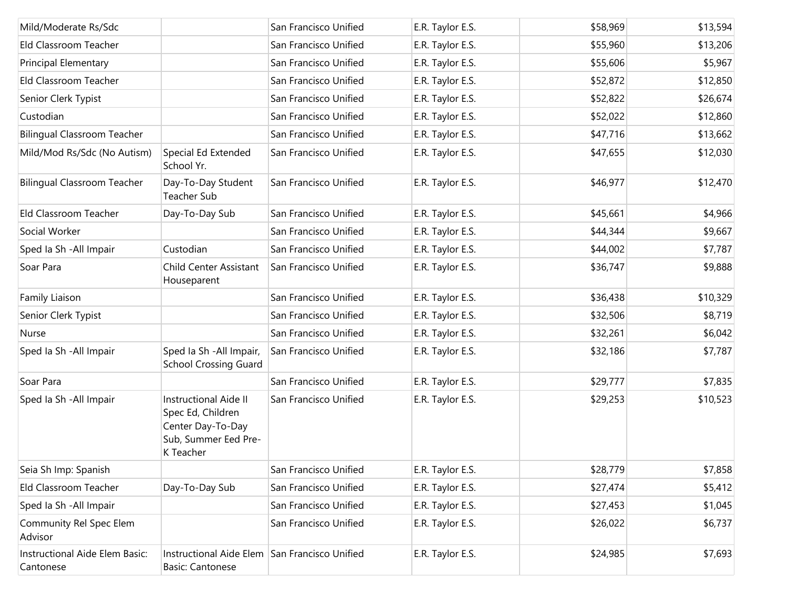| Mild/Moderate Rs/Sdc                        |                                                                                                             | San Francisco Unified | E.R. Taylor E.S. | \$58,969 | \$13,594 |
|---------------------------------------------|-------------------------------------------------------------------------------------------------------------|-----------------------|------------------|----------|----------|
| Eld Classroom Teacher                       |                                                                                                             | San Francisco Unified | E.R. Taylor E.S. | \$55,960 | \$13,206 |
| <b>Principal Elementary</b>                 |                                                                                                             | San Francisco Unified | E.R. Taylor E.S. | \$55,606 | \$5,967  |
| Eld Classroom Teacher                       |                                                                                                             | San Francisco Unified | E.R. Taylor E.S. | \$52,872 | \$12,850 |
| Senior Clerk Typist                         |                                                                                                             | San Francisco Unified | E.R. Taylor E.S. | \$52,822 | \$26,674 |
| Custodian                                   |                                                                                                             | San Francisco Unified | E.R. Taylor E.S. | \$52,022 | \$12,860 |
| <b>Bilingual Classroom Teacher</b>          |                                                                                                             | San Francisco Unified | E.R. Taylor E.S. | \$47,716 | \$13,662 |
| Mild/Mod Rs/Sdc (No Autism)                 | Special Ed Extended<br>School Yr.                                                                           | San Francisco Unified | E.R. Taylor E.S. | \$47,655 | \$12,030 |
| <b>Bilingual Classroom Teacher</b>          | Day-To-Day Student<br>Teacher Sub                                                                           | San Francisco Unified | E.R. Taylor E.S. | \$46,977 | \$12,470 |
| Eld Classroom Teacher                       | Day-To-Day Sub                                                                                              | San Francisco Unified | E.R. Taylor E.S. | \$45,661 | \$4,966  |
| Social Worker                               |                                                                                                             | San Francisco Unified | E.R. Taylor E.S. | \$44,344 | \$9,667  |
| Sped Ia Sh - All Impair                     | Custodian                                                                                                   | San Francisco Unified | E.R. Taylor E.S. | \$44,002 | \$7,787  |
| Soar Para                                   | Child Center Assistant<br>Houseparent                                                                       | San Francisco Unified | E.R. Taylor E.S. | \$36,747 | \$9,888  |
| Family Liaison                              |                                                                                                             | San Francisco Unified | E.R. Taylor E.S. | \$36,438 | \$10,329 |
| Senior Clerk Typist                         |                                                                                                             | San Francisco Unified | E.R. Taylor E.S. | \$32,506 | \$8,719  |
| Nurse                                       |                                                                                                             | San Francisco Unified | E.R. Taylor E.S. | \$32,261 | \$6,042  |
| Sped Ia Sh - All Impair                     | Sped Ia Sh - All Impair,<br><b>School Crossing Guard</b>                                                    | San Francisco Unified | E.R. Taylor E.S. | \$32,186 | \$7,787  |
| Soar Para                                   |                                                                                                             | San Francisco Unified | E.R. Taylor E.S. | \$29,777 | \$7,835  |
| Sped Ia Sh - All Impair                     | <b>Instructional Aide II</b><br>Spec Ed, Children<br>Center Day-To-Day<br>Sub, Summer Eed Pre-<br>K Teacher | San Francisco Unified | E.R. Taylor E.S. | \$29,253 | \$10,523 |
| Seia Sh Imp: Spanish                        |                                                                                                             | San Francisco Unified | E.R. Taylor E.S. | \$28,779 | \$7,858  |
| Eld Classroom Teacher                       | Day-To-Day Sub                                                                                              | San Francisco Unified | E.R. Taylor E.S. | \$27,474 | \$5,412  |
| Sped Ia Sh - All Impair                     |                                                                                                             | San Francisco Unified | E.R. Taylor E.S. | \$27,453 | \$1,045  |
| Community Rel Spec Elem<br>Advisor          |                                                                                                             | San Francisco Unified | E.R. Taylor E.S. | \$26,022 | \$6,737  |
| Instructional Aide Elem Basic:<br>Cantonese | Instructional Aide Elem San Francisco Unified<br><b>Basic: Cantonese</b>                                    |                       | E.R. Taylor E.S. | \$24,985 | \$7,693  |